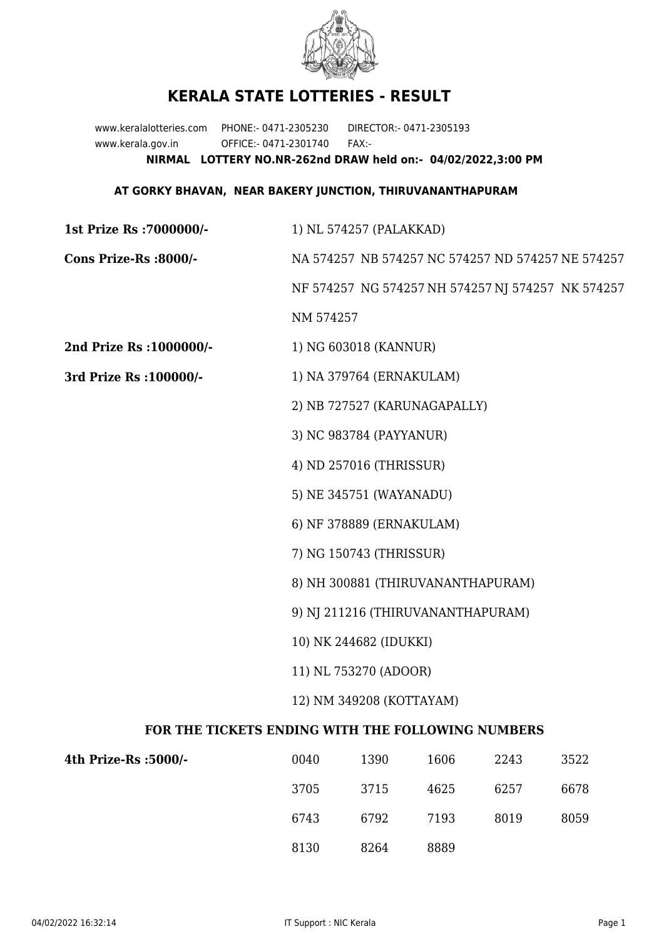

## **KERALA STATE LOTTERIES - RESULT**

www.keralalotteries.com PHONE:- 0471-2305230 DIRECTOR:- 0471-2305193 www.kerala.gov.in OFFICE:- 0471-2301740 FAX:- **NIRMAL LOTTERY NO.NR-262nd DRAW held on:- 04/02/2022,3:00 PM**

## **AT GORKY BHAVAN, NEAR BAKERY JUNCTION, THIRUVANANTHAPURAM**

| 1st Prize Rs : 7000000/-                          | 1) NL 574257 (PALAKKAD)                                                                                |                         |      |      |      |  |
|---------------------------------------------------|--------------------------------------------------------------------------------------------------------|-------------------------|------|------|------|--|
| Cons Prize-Rs :8000/-                             | NA 574257 NB 574257 NC 574257 ND 574257 NE 574257<br>NF 574257 NG 574257 NH 574257 NJ 574257 NK 574257 |                         |      |      |      |  |
|                                                   |                                                                                                        |                         |      |      |      |  |
|                                                   | NM 574257                                                                                              |                         |      |      |      |  |
| 2nd Prize Rs : 1000000/-                          |                                                                                                        | 1) NG 603018 (KANNUR)   |      |      |      |  |
| 3rd Prize Rs : 100000/-                           | 1) NA 379764 (ERNAKULAM)                                                                               |                         |      |      |      |  |
|                                                   | 2) NB 727527 (KARUNAGAPALLY)                                                                           |                         |      |      |      |  |
|                                                   | 3) NC 983784 (PAYYANUR)                                                                                |                         |      |      |      |  |
|                                                   | 4) ND 257016 (THRISSUR)                                                                                |                         |      |      |      |  |
|                                                   | 5) NE 345751 (WAYANADU)                                                                                |                         |      |      |      |  |
|                                                   | 6) NF 378889 (ERNAKULAM)                                                                               |                         |      |      |      |  |
|                                                   |                                                                                                        | 7) NG 150743 (THRISSUR) |      |      |      |  |
|                                                   | 8) NH 300881 (THIRUVANANTHAPURAM)                                                                      |                         |      |      |      |  |
|                                                   | 9) NJ 211216 (THIRUVANANTHAPURAM)                                                                      |                         |      |      |      |  |
|                                                   | 10) NK 244682 (IDUKKI)                                                                                 |                         |      |      |      |  |
|                                                   | 11) NL 753270 (ADOOR)                                                                                  |                         |      |      |      |  |
|                                                   | 12) NM 349208 (KOTTAYAM)                                                                               |                         |      |      |      |  |
| FOR THE TICKETS ENDING WITH THE FOLLOWING NUMBERS |                                                                                                        |                         |      |      |      |  |
| 4th Prize-Rs :5000/-                              | 0040                                                                                                   | 1390                    | 1606 | 2243 | 3522 |  |
|                                                   | 3705                                                                                                   | 3715                    | 4625 | 6257 | 6678 |  |

8130 8264 8889

6743 6792 7193 8019 8059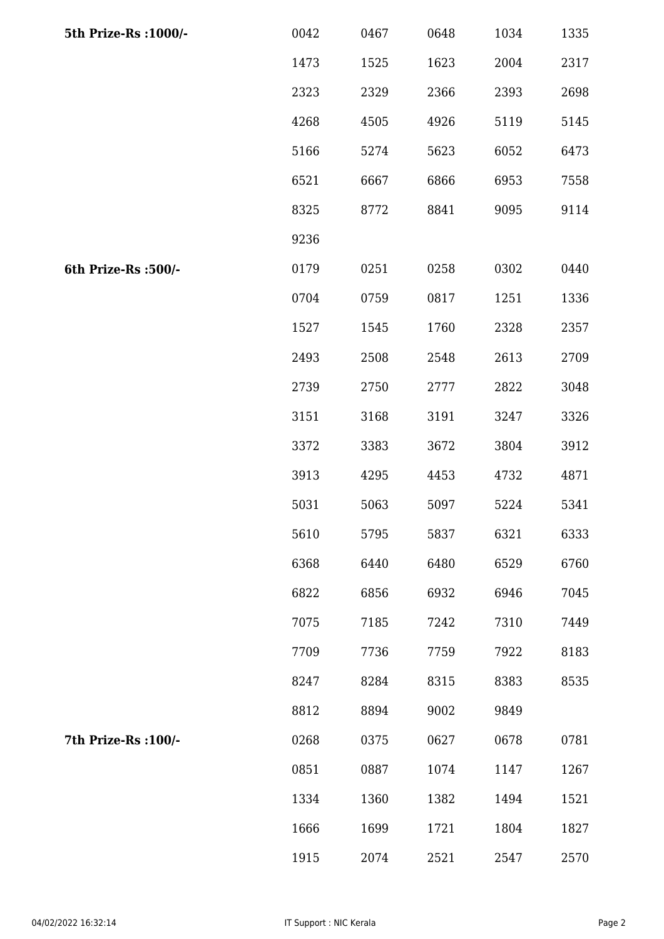| 5th Prize-Rs : 1000/- | 0042 | 0467 | 0648 | 1034 | 1335 |
|-----------------------|------|------|------|------|------|
|                       | 1473 | 1525 | 1623 | 2004 | 2317 |
|                       | 2323 | 2329 | 2366 | 2393 | 2698 |
|                       | 4268 | 4505 | 4926 | 5119 | 5145 |
|                       | 5166 | 5274 | 5623 | 6052 | 6473 |
|                       | 6521 | 6667 | 6866 | 6953 | 7558 |
|                       | 8325 | 8772 | 8841 | 9095 | 9114 |
|                       | 9236 |      |      |      |      |
| 6th Prize-Rs :500/-   | 0179 | 0251 | 0258 | 0302 | 0440 |
|                       | 0704 | 0759 | 0817 | 1251 | 1336 |
|                       | 1527 | 1545 | 1760 | 2328 | 2357 |
|                       | 2493 | 2508 | 2548 | 2613 | 2709 |
|                       | 2739 | 2750 | 2777 | 2822 | 3048 |
|                       | 3151 | 3168 | 3191 | 3247 | 3326 |
|                       | 3372 | 3383 | 3672 | 3804 | 3912 |
|                       | 3913 | 4295 | 4453 | 4732 | 4871 |
|                       | 5031 | 5063 | 5097 | 5224 | 5341 |
|                       | 5610 | 5795 | 5837 | 6321 | 6333 |
|                       | 6368 | 6440 | 6480 | 6529 | 6760 |
|                       | 6822 | 6856 | 6932 | 6946 | 7045 |
|                       | 7075 | 7185 | 7242 | 7310 | 7449 |
|                       | 7709 | 7736 | 7759 | 7922 | 8183 |
|                       | 8247 | 8284 | 8315 | 8383 | 8535 |
|                       | 8812 | 8894 | 9002 | 9849 |      |
| 7th Prize-Rs : 100/-  | 0268 | 0375 | 0627 | 0678 | 0781 |
|                       | 0851 | 0887 | 1074 | 1147 | 1267 |
|                       | 1334 | 1360 | 1382 | 1494 | 1521 |
|                       | 1666 | 1699 | 1721 | 1804 | 1827 |
|                       | 1915 | 2074 | 2521 | 2547 | 2570 |